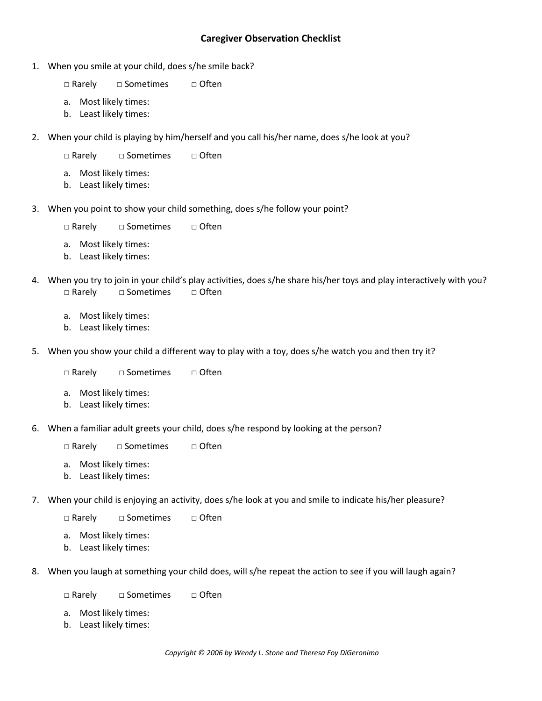## **Caregiver Observation Checklist**

- 1. When you smile at your child, does s/he smile back?
	- □ Rarely □ Sometimes □ Often
	- a. Most likely times:
	- b. Least likely times:
- 2. When your child is playing by him/herself and you call his/her name, does s/he look at you?
	- □ Rarely □ Sometimes □ Often
	- a. Most likely times:
	- b. Least likely times:
- 3. When you point to show your child something, does s/he follow your point?
	- □ Rarely □ Sometimes □ Often
	- a. Most likely times:
	- b. Least likely times:
- 4. When you try to join in your child's play activities, does s/he share his/her toys and play interactively with you? □ Rarely □ Sometimes □ Often
	- a. Most likely times:
	- b. Least likely times:
- 5. When you show your child a different way to play with a toy, does s/he watch you and then try it?
	- □ Rarely □ Sometimes □ Often
	- a. Most likely times:
	- b. Least likely times:
- 6. When a familiar adult greets your child, does s/he respond by looking at the person?
	- □ Rarely □ Sometimes □ Often
	- a. Most likely times:
	- b. Least likely times:
- 7. When your child is enjoying an activity, does s/he look at you and smile to indicate his/her pleasure?
	- □ Rarely □ Sometimes □ Often
	- a. Most likely times:
	- b. Least likely times:
- 8. When you laugh at something your child does, will s/he repeat the action to see if you will laugh again?
	- □ Rarely □ Sometimes □ Often
	- a. Most likely times:
	- b. Least likely times: